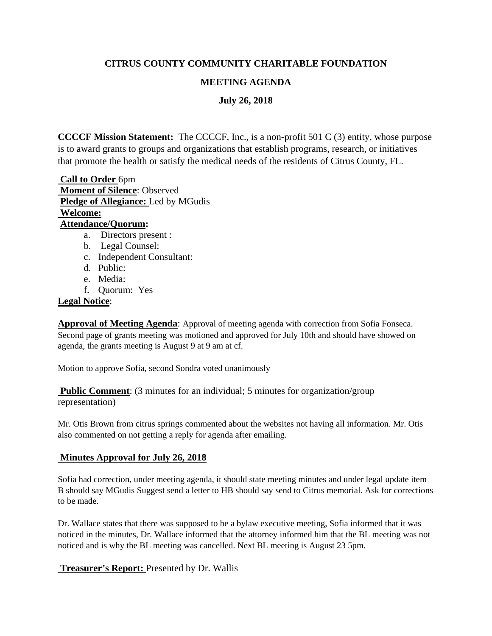# **CITRUS COUNTY COMMUNITY CHARITABLE FOUNDATION**

# **MEETING AGENDA**

**July 26, 2018**

**CCCCF Mission Statement:** The CCCCF, Inc., is a non-profit 501 C (3) entity, whose purpose is to award grants to groups and organizations that establish programs, research, or initiatives that promote the health or satisfy the medical needs of the residents of Citrus County, FL.

**Call to Order** 6pm **Moment of Silence**: Observed **Pledge of Allegiance:** Led by MGudis **Welcome: Attendance/Quorum:**  a. Directors present :

- b. Legal Counsel:
- c. Independent Consultant:
- d. Public:
- e. Media:
- f. Quorum: Yes

### **Legal Notice**:

**Approval of Meeting Agenda**: Approval of meeting agenda with correction from Sofia Fonseca. Second page of grants meeting was motioned and approved for July 10th and should have showed on agenda, the grants meeting is August 9 at 9 am at cf.

Motion to approve Sofia, second Sondra voted unanimously

**Public Comment:** (3 minutes for an individual; 5 minutes for organization/group representation)

Mr. Otis Brown from citrus springs commented about the websites not having all information. Mr. Otis also commented on not getting a reply for agenda after emailing.

## **Minutes Approval for July 26, 2018**

Sofia had correction, under meeting agenda, it should state meeting minutes and under legal update item B should say MGudis Suggest send a letter to HB should say send to Citrus memorial. Ask for corrections to be made.

Dr. Wallace states that there was supposed to be a bylaw executive meeting, Sofia informed that it was noticed in the minutes, Dr. Wallace informed that the attorney informed him that the BL meeting was not noticed and is why the BL meeting was cancelled. Next BL meeting is August 23 5pm.

**Treasurer's Report:** Presented by Dr. Wallis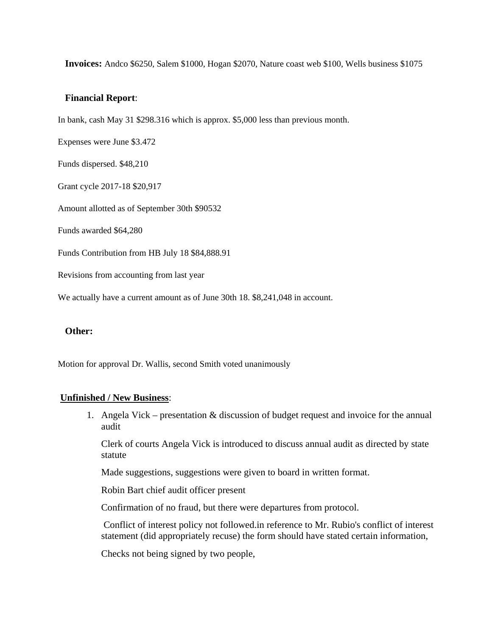**Invoices:** Andco \$6250, Salem \$1000, Hogan \$2070, Nature coast web \$100, Wells business \$1075

#### **Financial Report**:

In bank, cash May 31 \$298.316 which is approx. \$5,000 less than previous month.

Expenses were June \$3.472

Funds dispersed. \$48,210

Grant cycle 2017-18 \$20,917

Amount allotted as of September 30th \$90532

Funds awarded \$64,280

Funds Contribution from HB July 18 \$84,888.91

Revisions from accounting from last year

We actually have a current amount as of June 30th 18. \$8,241,048 in account.

#### **Other:**

Motion for approval Dr. Wallis, second Smith voted unanimously

#### **Unfinished / New Business**:

1. Angela Vick – presentation & discussion of budget request and invoice for the annual audit

Clerk of courts Angela Vick is introduced to discuss annual audit as directed by state statute

Made suggestions, suggestions were given to board in written format.

Robin Bart chief audit officer present

Confirmation of no fraud, but there were departures from protocol.

Conflict of interest policy not followed.in reference to Mr. Rubio's conflict of interest statement (did appropriately recuse) the form should have stated certain information,

Checks not being signed by two people,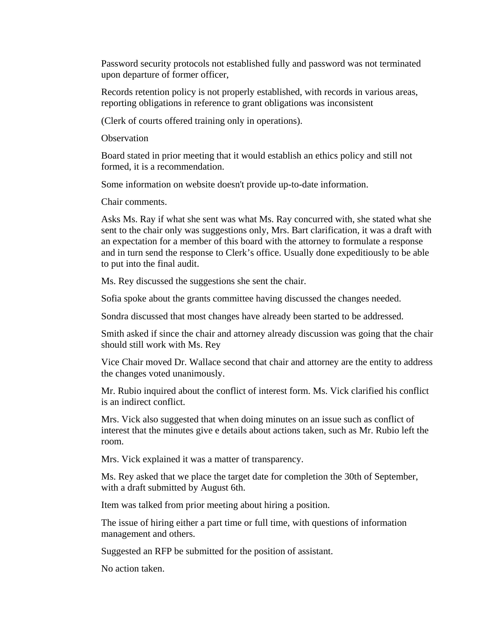Password security protocols not established fully and password was not terminated upon departure of former officer,

Records retention policy is not properly established, with records in various areas, reporting obligations in reference to grant obligations was inconsistent

(Clerk of courts offered training only in operations).

**Observation** 

Board stated in prior meeting that it would establish an ethics policy and still not formed, it is a recommendation.

Some information on website doesn't provide up-to-date information.

Chair comments.

Asks Ms. Ray if what she sent was what Ms. Ray concurred with, she stated what she sent to the chair only was suggestions only, Mrs. Bart clarification, it was a draft with an expectation for a member of this board with the attorney to formulate a response and in turn send the response to Clerk's office. Usually done expeditiously to be able to put into the final audit.

Ms. Rey discussed the suggestions she sent the chair.

Sofia spoke about the grants committee having discussed the changes needed.

Sondra discussed that most changes have already been started to be addressed.

Smith asked if since the chair and attorney already discussion was going that the chair should still work with Ms. Rey

Vice Chair moved Dr. Wallace second that chair and attorney are the entity to address the changes voted unanimously.

Mr. Rubio inquired about the conflict of interest form. Ms. Vick clarified his conflict is an indirect conflict.

Mrs. Vick also suggested that when doing minutes on an issue such as conflict of interest that the minutes give e details about actions taken, such as Mr. Rubio left the room.

Mrs. Vick explained it was a matter of transparency.

Ms. Rey asked that we place the target date for completion the 30th of September, with a draft submitted by August 6th.

Item was talked from prior meeting about hiring a position.

The issue of hiring either a part time or full time, with questions of information management and others.

Suggested an RFP be submitted for the position of assistant.

No action taken.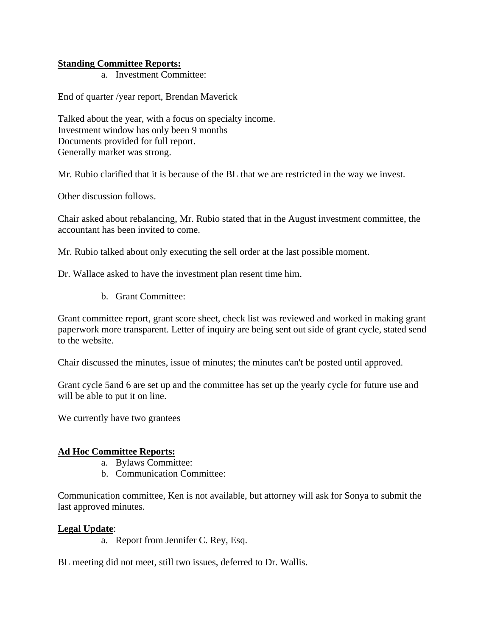### **Standing Committee Reports:**

a. Investment Committee:

End of quarter /year report, Brendan Maverick

Talked about the year, with a focus on specialty income. Investment window has only been 9 months Documents provided for full report. Generally market was strong.

Mr. Rubio clarified that it is because of the BL that we are restricted in the way we invest.

Other discussion follows.

Chair asked about rebalancing, Mr. Rubio stated that in the August investment committee, the accountant has been invited to come.

Mr. Rubio talked about only executing the sell order at the last possible moment.

Dr. Wallace asked to have the investment plan resent time him.

b. Grant Committee:

Grant committee report, grant score sheet, check list was reviewed and worked in making grant paperwork more transparent. Letter of inquiry are being sent out side of grant cycle, stated send to the website.

Chair discussed the minutes, issue of minutes; the minutes can't be posted until approved.

Grant cycle 5and 6 are set up and the committee has set up the yearly cycle for future use and will be able to put it on line.

We currently have two grantees

### **Ad Hoc Committee Reports:**

- a. Bylaws Committee:
- b. Communication Committee:

Communication committee, Ken is not available, but attorney will ask for Sonya to submit the last approved minutes.

### **Legal Update**:

a. Report from Jennifer C. Rey, Esq.

BL meeting did not meet, still two issues, deferred to Dr. Wallis.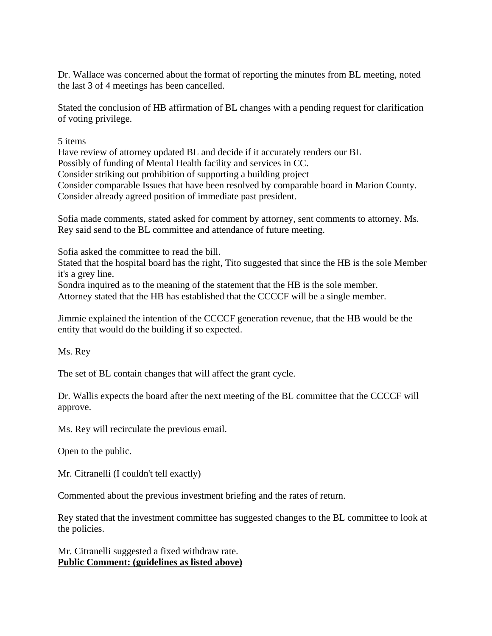Dr. Wallace was concerned about the format of reporting the minutes from BL meeting, noted the last 3 of 4 meetings has been cancelled.

Stated the conclusion of HB affirmation of BL changes with a pending request for clarification of voting privilege.

5 items

Have review of attorney updated BL and decide if it accurately renders our BL Possibly of funding of Mental Health facility and services in CC. Consider striking out prohibition of supporting a building project Consider comparable Issues that have been resolved by comparable board in Marion County. Consider already agreed position of immediate past president.

Sofia made comments, stated asked for comment by attorney, sent comments to attorney. Ms. Rey said send to the BL committee and attendance of future meeting.

Sofia asked the committee to read the bill.

Stated that the hospital board has the right, Tito suggested that since the HB is the sole Member it's a grey line.

Sondra inquired as to the meaning of the statement that the HB is the sole member. Attorney stated that the HB has established that the CCCCF will be a single member.

Jimmie explained the intention of the CCCCF generation revenue, that the HB would be the entity that would do the building if so expected.

Ms. Rey

The set of BL contain changes that will affect the grant cycle.

Dr. Wallis expects the board after the next meeting of the BL committee that the CCCCF will approve.

Ms. Rey will recirculate the previous email.

Open to the public.

Mr. Citranelli (I couldn't tell exactly)

Commented about the previous investment briefing and the rates of return.

Rey stated that the investment committee has suggested changes to the BL committee to look at the policies.

Mr. Citranelli suggested a fixed withdraw rate. **Public Comment: (guidelines as listed above)**